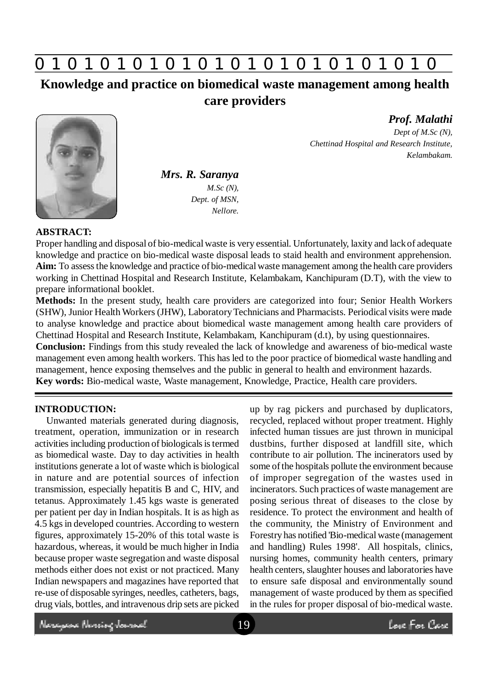

**Knowledge and practice on biomedical waste management among health care providers**

*Mrs. R. Saranya M.Sc (N), Dept. of MSN, Nellore.*

*Prof. Malathi Dept of M.Sc (N), Chettinad Hospital and Research Institute,*

*Kelambakam.*

### **ABSTRACT:**

Proper handling and disposal of bio-medical waste is very essential. Unfortunately, laxity and lack of adequate knowledge and practice on bio-medical waste disposal leads to staid health and environment apprehension. **Aim:** To assess the knowledge and practice of bio-medical waste management among the health care providers working in Chettinad Hospital and Research Institute, Kelambakam, Kanchipuram (D.T), with the view to prepare informational booklet.

**Methods:** In the present study, health care providers are categorized into four; Senior Health Workers (SHW), Junior Health Workers (JHW), Laboratory Technicians and Pharmacists. Periodical visits were made to analyse knowledge and practice about biomedical waste management among health care providers of Chettinad Hospital and Research Institute, Kelambakam, Kanchipuram (d.t), by using questionnaires.

**Conclusion:** Findings from this study revealed the lack of knowledge and awareness of bio-medical waste management even among health workers. This has led to the poor practice of biomedical waste handling and management, hence exposing themselves and the public in general to health and environment hazards. **Key words:** Bio-medical waste, Waste management, Knowledge, Practice, Health care providers.

### **INTRODUCTION:**

Unwanted materials generated during diagnosis, treatment, operation, immunization or in research activities including production of biologicals is termed as biomedical waste. Day to day activities in health institutions generate a lot of waste which is biological in nature and are potential sources of infection transmission, especially hepatitis B and C, HIV, and tetanus. Approximately 1.45 kgs waste is generated per patient per day in Indian hospitals. It is as high as 4.5 kgs in developed countries. According to western figures, approximately 15-20% of this total waste is hazardous, whereas, it would be much higher in India because proper waste segregation and waste disposal methods either does not exist or not practiced. Many Indian newspapers and magazines have reported that re-use of disposable syringes, needles, catheters, bags, drug vials, bottles, and intravenous drip sets are picked up by rag pickers and purchased by duplicators, recycled, replaced without proper treatment. Highly infected human tissues are just thrown in municipal dustbins, further disposed at landfill site, which contribute to air pollution. The incinerators used by some of the hospitals pollute the environment because of improper segregation of the wastes used in incinerators. Such practices of waste management are posing serious threat of diseases to the close by residence. To protect the environment and health of the community, the Ministry of Environment and Forestry has notified 'Bio-medical waste (management and handling) Rules 1998'. All hospitals, clinics, nursing homes, community health centers, primary health centers, slaughter houses and laboratories have to ensure safe disposal and environmentally sound management of waste produced by them as specified in the rules for proper disposal of bio-medical waste.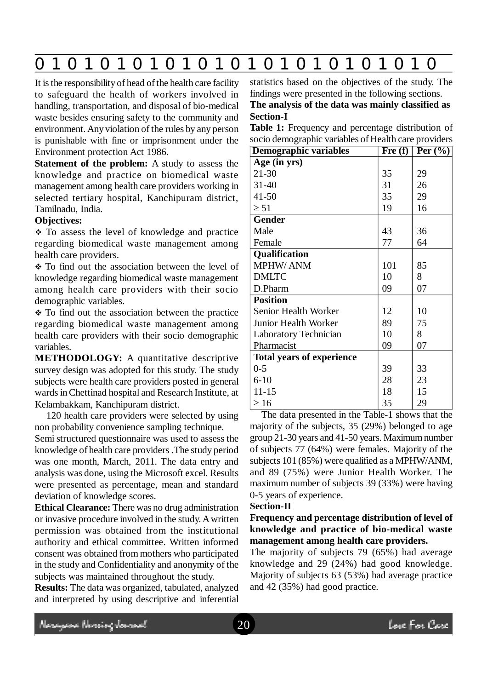## **0 z 0 z 0 z 0 z 0 z 0 z 0 z 0 z 0 z 0 z 0 z 0 z 0**

It is the responsibility of head of the health care facility to safeguard the health of workers involved in handling, transportation, and disposal of bio-medical waste besides ensuring safety to the community and environment. Any violation of the rules by any person is punishable with fine or imprisonment under the Environment protection Act 1986.

**Statement of the problem:** A study to assess the knowledge and practice on biomedical waste management among health care providers working in selected tertiary hospital, Kanchipuram district, Tamilnadu, India.

### **Objectives:**

• To assess the level of knowledge and practice regarding biomedical waste management among health care providers.

\* To find out the association between the level of knowledge regarding biomedical waste management among health care providers with their socio demographic variables.

\* To find out the association between the practice regarding biomedical waste management among health care providers with their socio demographic variables.

**METHODOLOGY:** A quantitative descriptive survey design was adopted for this study. The study subjects were health care providers posted in general wards in Chettinad hospital and Research Institute, at Kelambakkam, Kanchipuram district.

120 health care providers were selected by using non probability convenience sampling technique.

Semi structured questionnaire was used to assess the knowledge of health care providers .The study period was one month, March, 2011. The data entry and analysis was done, using the Microsoft excel. Results were presented as percentage, mean and standard deviation of knowledge scores.

**Ethical Clearance:** There was no drug administration or invasive procedure involved in the study. A written permission was obtained from the institutional authority and ethical committee. Written informed consent was obtained from mothers who participated in the study and Confidentiality and anonymity of the subjects was maintained throughout the study.

**Results:** The data was organized, tabulated, analyzed and interpreted by using descriptive and inferential statistics based on the objectives of the study. The findings were presented in the following sections.

**The analysis of the data was mainly classified as Section-I**

Table 1: Frequency and percentage distribution of socio demographic variables of Health care providers

| $\circ$<br>. Т.<br>Demographic variables | $\overline{\text{Fre (f)}}$ | Per $(\%)$ |
|------------------------------------------|-----------------------------|------------|
| Age (in yrs)                             |                             |            |
| $21 - 30$                                | 35                          | 29         |
| $31 - 40$                                | 31                          | 26         |
| $41 - 50$                                | 35                          | 29         |
| $\geq 51$                                | 19                          | 16         |
| <b>Gender</b>                            |                             |            |
| Male                                     | 43                          | 36         |
| Female                                   | 77                          | 64         |
| <b>Qualification</b>                     |                             |            |
| MPHW/ANM                                 | 101                         | 85         |
| <b>DMLTC</b>                             | 10                          | 8          |
| D.Pharm                                  | 09                          | 07         |
| <b>Position</b>                          |                             |            |
| Senior Health Worker                     | 12                          | 10         |
| Junior Health Worker                     | 89                          | 75         |
| Laboratory Technician                    | 10                          | 8          |
| Pharmacist                               | 09                          | 07         |
| <b>Total years of experience</b>         |                             |            |
| $0 - 5$                                  | 39                          | 33         |
| $6 - 10$                                 | 28                          | 23         |
| $11 - 15$                                | 18                          | 15         |
| $\geq 16$                                | 35                          | 29         |

The data presented in the Table-1 shows that the majority of the subjects, 35 (29%) belonged to age group 21-30 years and 41-50 years. Maximum number of subjects 77 (64%) were females. Majority of the subjects 101 (85%) were qualified as a MPHW/ANM, and 89 (75%) were Junior Health Worker. The maximum number of subjects 39 (33%) were having 0-5 years of experience.

#### **Section-II**

### **Frequency and percentage distribution of level of knowledge and practice of bio-medical waste management among health care providers.**

The majority of subjects 79 (65%) had average knowledge and 29 (24%) had good knowledge. Majority of subjects 63 (53%) had average practice and 42 (35%) had good practice.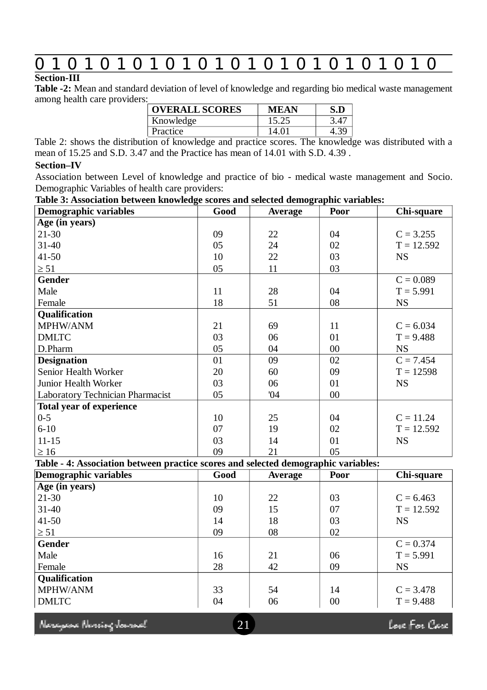# **0 z 0 z 0 z 0 z 0 z 0 z 0 z 0 z 0 z 0 z 0 z 0 z 0**

### **Section-III**

**Table -2:** Mean and standard deviation of level of knowledge and regarding bio medical waste management among health care providers:

| <b>OVERALL SCORES</b> | <b>MEAN</b> | S.D  |
|-----------------------|-------------|------|
| Knowledge             | 15.25       | 3.4' |
| Practice              | 14.01       |      |

Table 2: shows the distribution of knowledge and practice scores. The knowledge was distributed with a mean of 15.25 and S.D. 3.47 and the Practice has mean of 14.01 with S.D. 4.39 .

### **Section–IV**

Association between Level of knowledge and practice of bio - medical waste management and Socio. Demographic Variables of health care providers:

### **Table 3: Association between knowledge scores and selected demographic variables:**

| radic of resociation between knowledge scores and selected demographic variables. |      |                |             |              |  |  |  |
|-----------------------------------------------------------------------------------|------|----------------|-------------|--------------|--|--|--|
| Demographic variables                                                             | Good | <b>Average</b> | <b>Poor</b> | Chi-square   |  |  |  |
| Age (in years)                                                                    |      |                |             |              |  |  |  |
| $21 - 30$                                                                         | 09   | 22             | 04          | $C = 3.255$  |  |  |  |
| $31 - 40$                                                                         | 05   | 24             | 02          | $T = 12.592$ |  |  |  |
| $41 - 50$                                                                         | 10   | 22             | 03          | <b>NS</b>    |  |  |  |
| $\geq 51$                                                                         | 05   | 11             | 03          |              |  |  |  |
| <b>Gender</b>                                                                     |      |                |             | $C = 0.089$  |  |  |  |
| Male                                                                              | 11   | 28             | 04          | $T = 5.991$  |  |  |  |
| Female                                                                            | 18   | 51             | 08          | <b>NS</b>    |  |  |  |
| Qualification                                                                     |      |                |             |              |  |  |  |
| MPHW/ANM                                                                          | 21   | 69             | 11          | $C = 6.034$  |  |  |  |
| <b>DMLTC</b>                                                                      | 03   | 06             | 01          | $T = 9.488$  |  |  |  |
| D.Pharm                                                                           | 05   | 04             | $00\,$      | <b>NS</b>    |  |  |  |
| <b>Designation</b>                                                                | 01   | 09             | 02          | $C = 7.454$  |  |  |  |
| Senior Health Worker                                                              | 20   | 60             | 09          | $T = 12598$  |  |  |  |
| Junior Health Worker                                                              | 03   | 06             | 01          | <b>NS</b>    |  |  |  |
| <b>Laboratory Technician Pharmacist</b>                                           | 05   | 04             | $00\,$      |              |  |  |  |
| <b>Total year of experience</b>                                                   |      |                |             |              |  |  |  |
| $0 - 5$                                                                           | 10   | 25             | 04          | $C = 11.24$  |  |  |  |
| $6 - 10$                                                                          | 07   | 19             | 02          | $T = 12.592$ |  |  |  |
| $11 - 15$                                                                         | 03   | 14             | 01          | <b>NS</b>    |  |  |  |
| $\geq 16$                                                                         | 09   | 21             | 05          |              |  |  |  |

**Table - 4: Association between practice scores and selected demographic variables:**

| 03<br>07 | $C = 6.463$<br>$T = 12.592$ |
|----------|-----------------------------|
|          |                             |
|          |                             |
|          |                             |
|          | <b>NS</b>                   |
| 02       |                             |
|          | $C = 0.374$                 |
| 06       | $T = 5.991$                 |
| 09       | <b>NS</b>                   |
|          |                             |
| 14       | $C = 3.478$                 |
| $00\,$   | $T = 9.488$                 |
|          | 03                          |

Neregese Nereing Journal

Love For Care